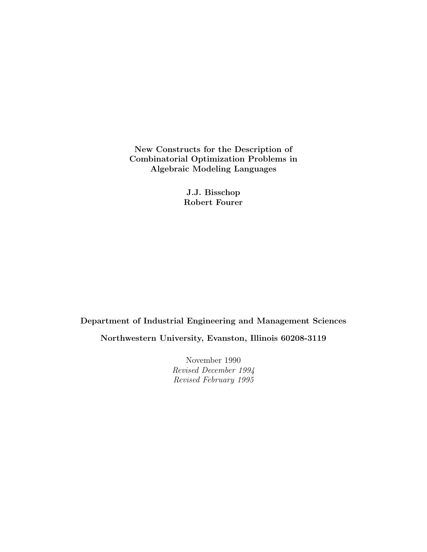**New Constructs for the Description of Combinatorial Optimization Problems in Algebraic Modeling Languages**

> **J.J. Bisschop Robert Fourer**

# **Department of Industrial Engineering and Management Sciences**

**Northwestern University, Evanston, Illinois 60208-3119**

November 1990 Revised December 1994 Revised February 1995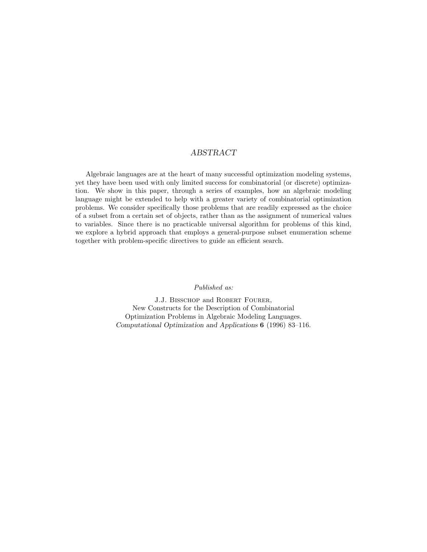# *ABSTRACT*

Algebraic languages are at the heart of many successful optimization modeling systems, yet they have been used with only limited success for combinatorial (or discrete) optimization. We show in this paper, through a series of examples, how an algebraic modeling language might be extended to help with a greater variety of combinatorial optimization problems. We consider specifically those problems that are readily expressed as the choice of a subset from a certain set of objects, rather than as the assignment of numerical values to variables. Since there is no practicable universal algorithm for problems of this kind, we explore a hybrid approach that employs a general-purpose subset enumeration scheme together with problem-specific directives to guide an efficient search.

## Published as:

J.J. Bisschop and Robert Fourer, New Constructs for the Description of Combinatorial Optimization Problems in Algebraic Modeling Languages. *Computational Optimization and Applications* **6** (1996) 83–116.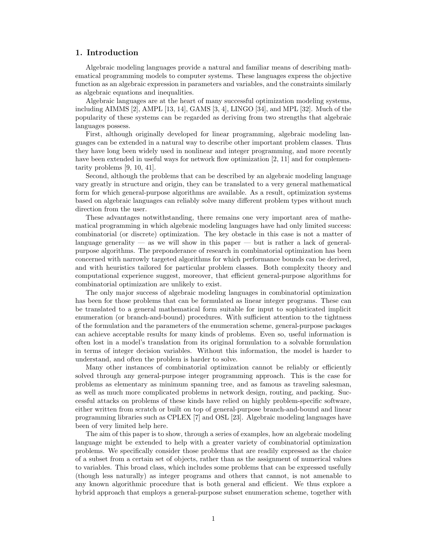# **1. Introduction**

Algebraic modeling languages provide a natural and familiar means of describing mathematical programming models to computer systems. These languages express the objective function as an algebraic expression in parameters and variables, and the constraints similarly as algebraic equations and inequalities.

Algebraic languages are at the heart of many successful optimization modeling systems, including AIMMS [2], AMPL [13, 14], GAMS [3, 4], LINGO [34], and MPL [32]. Much of the popularity of these systems can be regarded as deriving from two strengths that algebraic languages possess.

First, although originally developed for linear programming, algebraic modeling languages can be extended in a natural way to describe other important problem classes. Thus they have long been widely used in nonlinear and integer programming, and more recently have been extended in useful ways for network flow optimization [2, 11] and for complementarity problems [9, 10, 41].

Second, although the problems that can be described by an algebraic modeling language vary greatly in structure and origin, they can be translated to a very general mathematical form for which general-purpose algorithms are available. As a result, optimization systems based on algebraic languages can reliably solve many different problem types without much direction from the user.

These advantages notwithstanding, there remains one very important area of mathematical programming in which algebraic modeling languages have had only limited success: combinatorial (or discrete) optimization. The key obstacle in this case is not a matter of language generality — as we will show in this paper — but is rather a lack of generalpurpose algorithms. The preponderance of research in combinatorial optimization has been concerned with narrowly targeted algorithms for which performance bounds can be derived, and with heuristics tailored for particular problem classes. Both complexity theory and computational experience suggest, moreover, that efficient general-purpose algorithms for combinatorial optimization are unlikely to exist.

The only major success of algebraic modeling languages in combinatorial optimization has been for those problems that can be formulated as linear integer programs. These can be translated to a general mathematical form suitable for input to sophisticated implicit enumeration (or branch-and-bound) procedures. With sufficient attention to the tightness of the formulation and the parameters of the enumeration scheme, general-purpose packages can achieve acceptable results for many kinds of problems. Even so, useful information is often lost in a model's translation from its original formulation to a solvable formulation in terms of integer decision variables. Without this information, the model is harder to understand, and often the problem is harder to solve.

Many other instances of combinatorial optimization cannot be reliably or efficiently solved through any general-purpose integer programming approach. This is the case for problems as elementary as minimum spanning tree, and as famous as traveling salesman, as well as much more complicated problems in network design, routing, and packing. Successful attacks on problems of these kinds have relied on highly problem-specific software, either written from scratch or built on top of general-purpose branch-and-bound and linear programming libraries such as CPLEX [7] and OSL [23]. Algebraic modeling languages have been of very limited help here.

The aim of this paper is to show, through a series of examples, how an algebraic modeling language might be extended to help with a greater variety of combinatorial optimization problems. We specifically consider those problems that are readily expressed as the choice of a subset from a certain set of objects, rather than as the assignment of numerical values to variables. This broad class, which includes some problems that can be expressed usefully (though less naturally) as integer programs and others that cannot, is not amenable to any known algorithmic procedure that is both general and efficient. We thus explore a hybrid approach that employs a general-purpose subset enumeration scheme, together with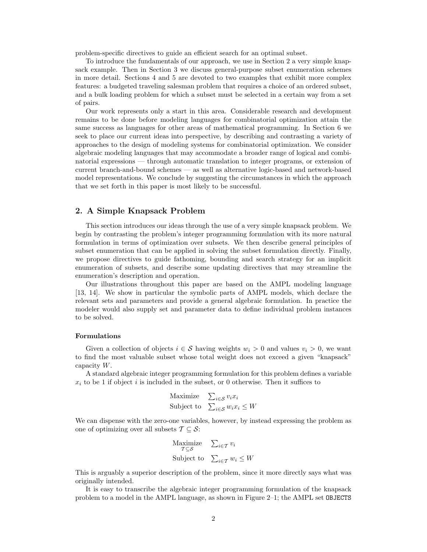problem-specific directives to guide an efficient search for an optimal subset.

To introduce the fundamentals of our approach, we use in Section 2 a very simple knapsack example. Then in Section 3 we discuss general-purpose subset enumeration schemes in more detail. Sections 4 and 5 are devoted to two examples that exhibit more complex features: a budgeted traveling salesman problem that requires a choice of an ordered subset, and a bulk loading problem for which a subset must be selected in a certain way from a set of pairs.

Our work represents only a start in this area. Considerable research and development remains to be done before modeling languages for combinatorial optimization attain the same success as languages for other areas of mathematical programming. In Section 6 we seek to place our current ideas into perspective, by describing and contrasting a variety of approaches to the design of modeling systems for combinatorial optimization. We consider algebraic modeling languages that may accommodate a broader range of logical and combinatorial expressions — through automatic translation to integer programs, or extension of current branch-and-bound schemes — as well as alternative logic-based and network-based model representations. We conclude by suggesting the circumstances in which the approach that we set forth in this paper is most likely to be successful.

# **2. A Simple Knapsack Problem**

This section introduces our ideas through the use of a very simple knapsack problem. We begin by contrasting the problem's integer programming formulation with its more natural formulation in terms of optimization over subsets. We then describe general principles of subset enumeration that can be applied in solving the subset formulation directly. Finally, we propose directives to guide fathoming, bounding and search strategy for an implicit enumeration of subsets, and describe some updating directives that may streamline the enumeration's description and operation.

Our illustrations throughout this paper are based on the AMPL modeling language [13, 14]. We show in particular the symbolic parts of AMPL models, which declare the relevant sets and parameters and provide a general algebraic formulation. In practice the modeler would also supply set and parameter data to define individual problem instances to be solved.

#### **Formulations**

Given a collection of objects  $i \in S$  having weights  $w_i > 0$  and values  $v_i > 0$ , we want to find the most valuable subset whose total weight does not exceed a given "knapsack" capacity *W*.

A standard algebraic integer programming formulation for this problem defines a variable  $x_i$  to be 1 if object *i* is included in the subset, or 0 otherwise. Then it suffices to

$$
\begin{array}{ll}\text{Maximize} & \sum_{i \in \mathcal{S}} v_i x_i\\ \text{Subject to} & \sum_{i \in \mathcal{S}} w_i x_i \leq W \end{array}
$$

We can dispense with the zero-one variables, however, by instead expressing the problem as one of optimizing over all subsets  $\mathcal{T} \subseteq \mathcal{S}$ :

$$
\begin{array}{ll}\n\text{Maximize} & \sum_{i \in \mathcal{T}} v_i \\
\text{Subject to} & \sum_{i \in \mathcal{T}} w_i \leq W\n\end{array}
$$

This is arguably a superior description of the problem, since it more directly says what was originally intended.

It is easy to transcribe the algebraic integer programming formulation of the knapsack problem to a model in the AMPL language, as shown in Figure 2–1; the AMPL set OBJECTS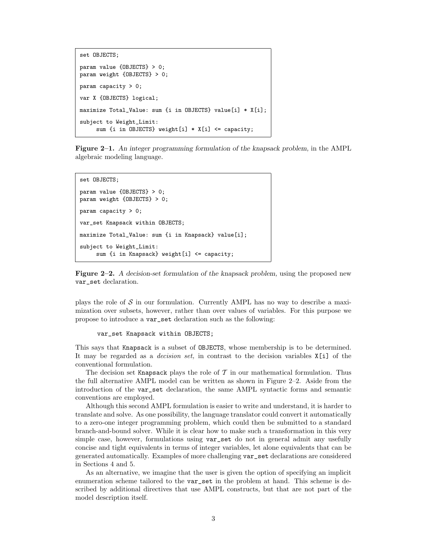```
set OBJECTS;
param value {OBJECTS} > 0;
param weight {OBJECTS} > 0;
param capacity > 0;
var X {OBJECTS} logical;
maximize Total_Value: sum {i in OBJECTS} value[i] * X[i];
subject to Weight_Limit:
     sum {i in OBJECTS} weight[i] * X[i] <= capacity;
```
**Figure 2–1.** *An integer programming formulation of the knapsack problem,* in the AMPL algebraic modeling language.

```
set OBJECTS;
param value {OBJECTS} > 0;
param weight {OBJECTS} > 0;
param capacity > 0;
var_set Knapsack within OBJECTS;
maximize Total_Value: sum {i in Knapsack} value[i];
subject to Weight_Limit:
     sum {i in Knapsack} weight[i] <= capacity;
```
**Figure 2–2.** *A decision-set formulation of the knapsack problem,* using the proposed new var set declaration.

plays the role of  $S$  in our formulation. Currently AMPL has no way to describe a maximization over subsets, however, rather than over values of variables. For this purpose we propose to introduce a var\_set declaration such as the following:

```
var_set Knapsack within OBJECTS;
```
This says that Knapsack is a subset of OBJECTS, whose membership is to be determined. It may be regarded as a *decision set*, in contrast to the decision variables  $X[i]$  of the conventional formulation.

The decision set Knapsack plays the role of  $\mathcal T$  in our mathematical formulation. Thus the full alternative AMPL model can be written as shown in Figure 2–2. Aside from the introduction of the var\_set declaration, the same AMPL syntactic forms and semantic conventions are employed.

Although this second AMPL formulation is easier to write and understand, it is harder to translate and solve. As one possibility, the language translator could convert it automatically to a zero-one integer programming problem, which could then be submitted to a standard branch-and-bound solver. While it is clear how to make such a transformation in this very simple case, however, formulations using var\_set do not in general admit any usefully concise and tight equivalents in terms of integer variables, let alone equivalents that can be generated automatically. Examples of more challenging var\_set declarations are considered in Sections 4 and 5.

As an alternative, we imagine that the user is given the option of specifying an implicit enumeration scheme tailored to the var\_set in the problem at hand. This scheme is described by additional directives that use AMPL constructs, but that are not part of the model description itself.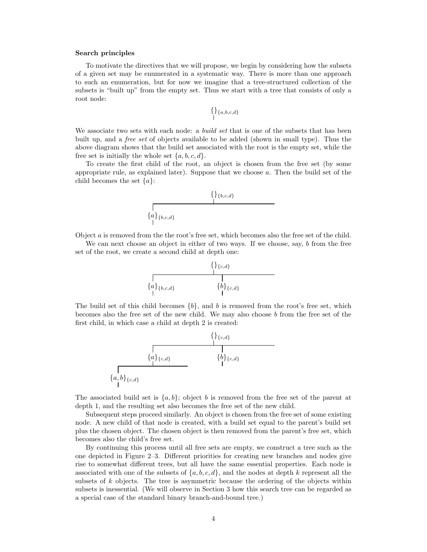#### **Search principles**

To motivate the directives that we will propose, we begin by considering how the subsets of a given set may be enumerated in a systematic way. There is more than one approach to such an enumeration, but for now we imagine that a tree-structured collection of the subsets is "built up" from the empty set. Thus we start with a tree that consists of only a root node:

$$
\{\}_{\{a,b,c,d\}}
$$

We associate two sets with each node: a *build set* that is one of the subsets that has been built up, and a free set of objects available to be added (shown in small type). Thus the above diagram shows that the build set associated with the root is the empty set, while the free set is initially the whole set  $\{a, b, c, d\}.$ 

To create the first child of the root, an object is chosen from the free set (by some appropriate rule, as explained later). Suppose that we choose *a*. Then the build set of the child becomes the set {*a*}:

$$
\{ \} \{ b, c, d \}
$$
\n
$$
\{ a \} \{ b, c, d \}
$$

Object *a* is removed from the the root's free set, which becomes also the free set of the child.

We can next choose an object in either of two ways. If we choose, say, *b* from the free set of the root, we create a second child at depth one:

$$
\begin{array}{c}\n\{\n\}_{\{c,d\}} \\
\downarrow \\
\{\na\}_{\{b,c,d\}}\n\end{array}
$$

The build set of this child becomes  ${b}$ , and *b* is removed from the root's free set, which becomes also the free set of the new child. We may also choose *b* from the free set of the first child, in which case a child at depth 2 is created:

$$
\{a,b\}_{\{c,d\}} \qquad \{a,b\}_{\{c,d\}}
$$

The associated build set is  $\{a, b\}$ ; object *b* is removed from the free set of the parent at depth 1, and the resulting set also becomes the free set of the new child.

Subsequent steps proceed similarly. An object is chosen from the free set of some existing node. A new child of that node is created, with a build set equal to the parent's build set plus the chosen object. The chosen object is then removed from the parent's free set, which becomes also the child's free set.

By continuing this process until all free sets are empty, we construct a tree such as the one depicted in Figure 2–3. Different priorities for creating new branches and nodes give rise to somewhat different trees, but all have the same essential properties. Each node is associated with one of the subsets of {*a, b, c, d*}, and the nodes at depth *k* represent all the subsets of *k* objects. The tree is asymmetric because the ordering of the objects within subsets is inessential. (We will observe in Section 3 how this search tree can be regarded as a special case of the standard binary branch-and-bound tree.)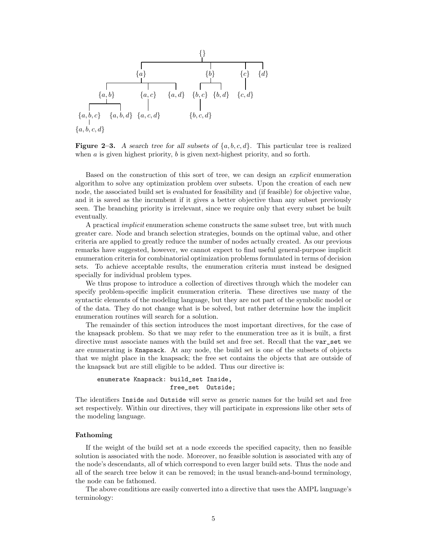

**Figure 2–3.** A search tree for all subsets of  $\{a, b, c, d\}$ . This particular tree is realized when *a* is given highest priority, *b* is given next-highest priority, and so forth.

Based on the construction of this sort of tree, we can design an explicit enumeration algorithm to solve any optimization problem over subsets. Upon the creation of each new node, the associated build set is evaluated for feasibility and (if feasible) for objective value, and it is saved as the incumbent if it gives a better objective than any subset previously seen. The branching priority is irrelevant, since we require only that every subset be built eventually.

A practical implicit enumeration scheme constructs the same subset tree, but with much greater care. Node and branch selection strategies, bounds on the optimal value, and other criteria are applied to greatly reduce the number of nodes actually created. As our previous remarks have suggested, however, we cannot expect to find useful general-purpose implicit enumeration criteria for combinatorial optimization problems formulated in terms of decision sets. To achieve acceptable results, the enumeration criteria must instead be designed specially for individual problem types.

We thus propose to introduce a collection of directives through which the modeler can specify problem-specific implicit enumeration criteria. These directives use many of the syntactic elements of the modeling language, but they are not part of the symbolic model or of the data. They do not change what is be solved, but rather determine how the implicit enumeration routines will search for a solution.

The remainder of this section introduces the most important directives, for the case of the knapsack problem. So that we may refer to the enumeration tree as it is built, a first directive must associate names with the build set and free set. Recall that the  $var_set$  we are enumerating is Knapsack. At any node, the build set is one of the subsets of objects that we might place in the knapsack; the free set contains the objects that are outside of the knapsack but are still eligible to be added. Thus our directive is:

```
enumerate Knapsack: build_set Inside,
                    free_set Outside;
```
The identifiers Inside and Outside will serve as generic names for the build set and free set respectively. Within our directives, they will participate in expressions like other sets of the modeling language.

#### **Fathoming**

If the weight of the build set at a node exceeds the specified capacity, then no feasible solution is associated with the node. Moreover, no feasible solution is associated with any of the node's descendants, all of which correspond to even larger build sets. Thus the node and all of the search tree below it can be removed; in the usual branch-and-bound terminology, the node can be fathomed.

The above conditions are easily converted into a directive that uses the AMPL language's terminology: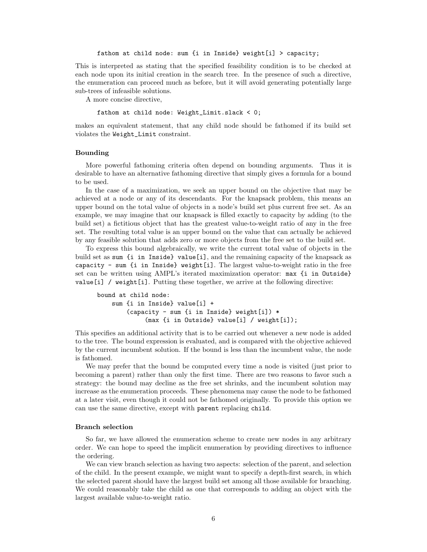fathom at child node: sum {i in Inside} weight[i] > capacity;

This is interpreted as stating that the specified feasibility condition is to be checked at each node upon its initial creation in the search tree. In the presence of such a directive, the enumeration can proceed much as before, but it will avoid generating potentially large sub-trees of infeasible solutions.

A more concise directive,

```
fathom at child node: Weight_Limit.slack < 0;
```
makes an equivalent statement, that any child node should be fathomed if its build set violates the Weight\_Limit constraint.

## **Bounding**

More powerful fathoming criteria often depend on bounding arguments. Thus it is desirable to have an alternative fathoming directive that simply gives a formula for a bound to be used.

In the case of a maximization, we seek an upper bound on the objective that may be achieved at a node or any of its descendants. For the knapsack problem, this means an upper bound on the total value of objects in a node's build set plus current free set. As an example, we may imagine that our knapsack is filled exactly to capacity by adding (to the build set) a fictitious object that has the greatest value-to-weight ratio of any in the free set. The resulting total value is an upper bound on the value that can actually be achieved by any feasible solution that adds zero or more objects from the free set to the build set.

To express this bound algebraically, we write the current total value of objects in the build set as sum {i in Inside} value[i], and the remaining capacity of the knapsack as capacity - sum  $\{i \text{ in Inside}\}$  weight $[i]$ . The largest value-to-weight ratio in the free set can be written using AMPL's iterated maximization operator: max {i in Outside} value[i] / weight[i]. Putting these together, we arrive at the following directive:

```
bound at child node:
    sum {i in Inside} value[i] +
        (capacity - sum i in Inside) weight[i]) *(max {i in Outside} value[i] / weight[i]);
```
This specifies an additional activity that is to be carried out whenever a new node is added to the tree. The bound expression is evaluated, and is compared with the objective achieved by the current incumbent solution. If the bound is less than the incumbent value, the node is fathomed.

We may prefer that the bound be computed every time a node is visited (just prior to becoming a parent) rather than only the first time. There are two reasons to favor such a strategy: the bound may decline as the free set shrinks, and the incumbent solution may increase as the enumeration proceeds. These phenomena may cause the node to be fathomed at a later visit, even though it could not be fathomed originally. To provide this option we can use the same directive, except with parent replacing child.

#### **Branch selection**

So far, we have allowed the enumeration scheme to create new nodes in any arbitrary order. We can hope to speed the implicit enumeration by providing directives to influence the ordering.

We can view branch selection as having two aspects: selection of the parent, and selection of the child. In the present example, we might want to specify a depth-first search, in which the selected parent should have the largest build set among all those available for branching. We could reasonably take the child as one that corresponds to adding an object with the largest available value-to-weight ratio.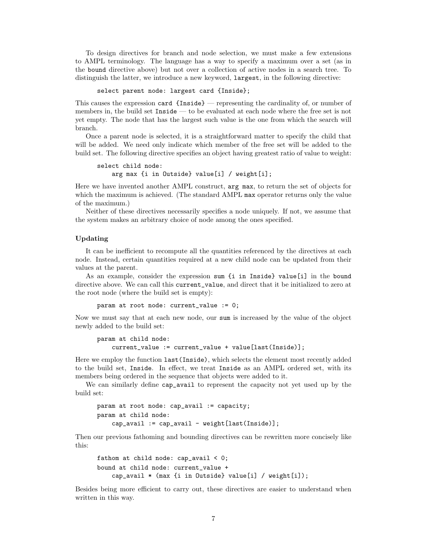To design directives for branch and node selection, we must make a few extensions to AMPL terminology. The language has a way to specify a maximum over a set (as in the bound directive above) but not over a collection of active nodes in a search tree. To distinguish the latter, we introduce a new keyword, largest, in the following directive:

select parent node: largest card {Inside};

This causes the expression card {Inside} — representing the cardinality of, or number of members in, the build set Inside — to be evaluated at each node where the free set is not yet empty. The node that has the largest such value is the one from which the search will branch.

Once a parent node is selected, it is a straightforward matter to specify the child that will be added. We need only indicate which member of the free set will be added to the build set. The following directive specifies an object having greatest ratio of value to weight:

```
select child node:
    arg max {i in Outside} value[i] / weight[i];
```
Here we have invented another AMPL construct, arg max, to return the set of objects for which the maximum is achieved. (The standard AMPL max operator returns only the value of the maximum.)

Neither of these directives necessarily specifies a node uniquely. If not, we assume that the system makes an arbitrary choice of node among the ones specified.

## **Updating**

It can be inefficient to recompute all the quantities referenced by the directives at each node. Instead, certain quantities required at a new child node can be updated from their values at the parent.

As an example, consider the expression sum {i in Inside} value[i] in the bound directive above. We can call this current\_value, and direct that it be initialized to zero at the root node (where the build set is empty):

param at root node: current\_value := 0;

Now we must say that at each new node, our sum is increased by the value of the object newly added to the build set:

```
param at child node:
   current_value := current_value + value[last(Inside)];
```
Here we employ the function last(Inside), which selects the element most recently added to the build set, Inside. In effect, we treat Inside as an AMPL ordered set, with its members being ordered in the sequence that objects were added to it.

We can similarly define cap\_avail to represent the capacity not yet used up by the build set:

```
param at root node: cap_avail := capacity;
param at child node:
    cap_avail := cap_avail - weight[last(Inside)];
```
Then our previous fathoming and bounding directives can be rewritten more concisely like this:

```
fathom at child node: cap_avail < 0;
bound at child node: current_value +
    cap_avail * (max {i in Outside} value[i] / weight[i]);
```
Besides being more efficient to carry out, these directives are easier to understand when written in this way.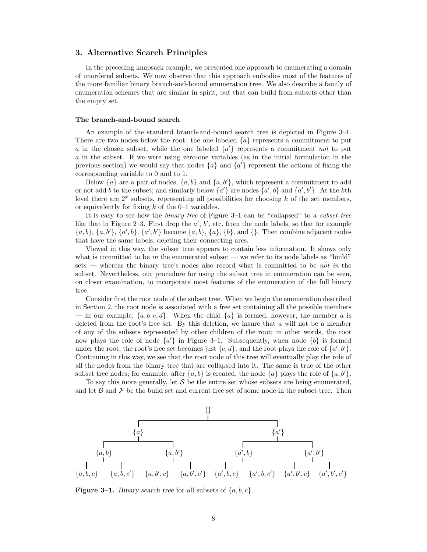## **3. Alternative Search Principles**

In the preceding knapsack example, we presented one approach to enumerating a domain of unordered subsets. We now observe that this approach embodies most of the features of the more familiar binary branch-and-bound enumeration tree. We also describe a family of enumeration schemes that are similar in spirit, but that can build from subsets other than the empty set.

#### **The branch-and-bound search**

An example of the standard branch-and-bound search tree is depicted in Figure 3–1. There are two nodes below the root: the one labeled  $\{a\}$  represents a commitment to put *a* in the chosen subset, while the one labeled  $\{a'\}$  represents a commitment not to put *a* in the subset. If we were using zero-one variables (as in the initial formulation in the previous section) we would say that nodes  ${a}$  and  ${a'}$  represent the actions of fixing the corresponding variable to 0 and to 1.

Below  ${a}$  are a pair of nodes,  ${a,b}$  and  ${a,b'}$ , which represent a commitment to add or not add *b* to the subset; and similarly below  $\{a'\}$  are nodes  $\{a', b\}$  and  $\{a', b'\}$ . At the *k*th level there are  $2^k$  subsets, representing all possibilities for choosing  $k$  of the set members, or equivalently for fixing *k* of the 0–1 variables.

It is easy to see how the binary tree of Figure 3–1 can be "collapsed" to a subset tree like that in Figure 2–3. First drop the  $a'$ ,  $b'$ , etc. from the node labels, so that for example  $\{a, b\}$ ,  $\{a, b'\}$ ,  $\{a', b'\}$ ,  $\{a', b'\}$  become  $\{a, b\}$ ,  $\{a\}$ ,  $\{b\}$ , and  $\}$ . Then combine adjacent nodes that have the same labels, deleting their connecting arcs.

Viewed in this way, the subset tree appears to contain less information. It shows only what is committed to be in the enumerated subset — we refer to its node labels as "build" sets — whereas the binary tree's nodes also record what is committed to be not in the subset. Nevertheless, our procedure for using the subset tree in enumeration can be seen, on closer examination, to incorporate most features of the enumeration of the full binary tree.

Consider first the root node of the subset tree. When we begin the enumeration described in Section 2, the root node is associated with a free set containing all the possible members — in our example,  $\{a, b, c, d\}$ . When the child  $\{a\}$  is formed, however, the member a is deleted from the root's free set. By this deletion, we insure that *a* will not be a member of any of the subsets represented by other children of the root; in other words, the root now plays the role of node  $\{a'\}$  in Figure 3–1. Subsequently, when node  $\{b\}$  is formed under the root, the root's free set becomes just  $\{c, d\}$ , and the root plays the role of  $\{a', b'\}$ . Continuing in this way, we see that the root node of this tree will eventually play the role of all the nodes from the binary tree that are collapsed into it. The same is true of the other subset tree nodes; for example, after  $\{a, b\}$  is created, the node  $\{a\}$  plays the role of  $\{a, b'\}.$ 

To say this more generally, let  $S$  be the entire set whose subsets are being enumerated, and let  $\mathcal B$  and  $\mathcal F$  be the build set and current free set of some node in the subset tree. Then



**Figure 3–1.** *Binary search tree* for all subsets of  $\{a, b, c\}$ .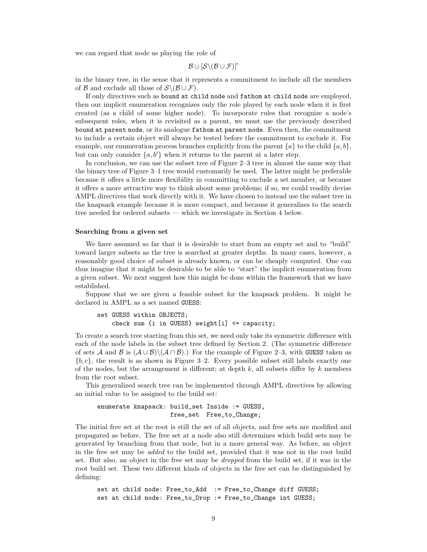we can regard that node as playing the role of

$$
\mathcal{B}\cup[\mathcal{S}\backslash(\mathcal{B}\cup\mathcal{F})]'
$$

in the binary tree, in the sense that it represents a commitment to include all the members of B and exclude all those of  $S \setminus (B \cup \mathcal{F})$ .

If only directives such as bound at child node and fathom at child node are employed, then our implicit enumeration recognizes only the role played by each node when it is first created (as a child of some higher node). To incorporate rules that recognize a node's subsequent roles, when it is revisited as a parent, we must use the previously described bound at parent node, or its analogue fathom at parent node. Even then, the commitment to include a certain object will always be tested before the commitment to exclude it. For example, our enumeration process branches explicitly from the parent  ${a}$  to the child  ${a,b}$ , but can only consider  $\{a, b'\}$  when it returns to the parent at a later step.

In conclusion, we can use the subset tree of Figure 2–3 tree in almost the same way that the binary tree of Figure 3–1 tree would customarily be used. The latter might be preferable because it offers a little more flexibility in committing to exclude a set member, or because it offers a more attractive way to think about some problems; if so, we could readily devise AMPL directives that work directly with it. We have chosen to instead use the subset tree in the knapsack example because it is more compact, and because it generalizes to the search tree needed for ordered subsets — which we investigate in Section 4 below.

#### **Searching from a given set**

We have assumed so far that it is desirable to start from an empty set and to "build" toward larger subsets as the tree is searched at greater depths. In many cases, however, a reasonably good choice of subset is already known, or can be cheaply computed. One can thus imagine that it might be desirable to be able to "start" the implicit enumeration from a given subset. We next suggest how this might be done within the framework that we have established.

Suppose that we are given a feasible subset for the knapsack problem. It might be declared in AMPL as a set named GUESS:

```
set GUESS within OBJECTS;
    check sum \{i in GUESS} weight[i] \leq capacity;
```
To create a search tree starting from this set, we need only take its symmetric difference with each of the node labels in the subset tree defined by Section 2. (The symmetric difference of sets A and B is  $(A\cup B)\setminus (A\cap B)$ .) For the example of Figure 2–3, with GUESS taken as  ${b, c}$ , the result is as shown in Figure 3–2. Every possible subset still labels exactly one of the nodes, but the arrangement is different; at depth *k*, all subsets differ by *k* members from the root subset.

This generalized search tree can be implemented through AMPL directives by allowing an initial value to be assigned to the build set:

```
enumerate knapsack: build_set Inside := GUESS,
                    free_set Free_to_Change;
```
The initial free set at the root is still the set of all objects, and free sets are modified and propagated as before. The free set at a node also still determines which build sets may be generated by branching from that node, but in a more general way. As before, an object in the free set may be added to the build set, provided that it was not in the root build set. But also, an object in the free set may be dropped from the build set, if it was in the root build set. These two different kinds of objects in the free set can be distinguished by defining:

set at child node: Free\_to\_Add := Free\_to\_Change diff GUESS; set at child node: Free\_to\_Drop := Free\_to\_Change int GUESS;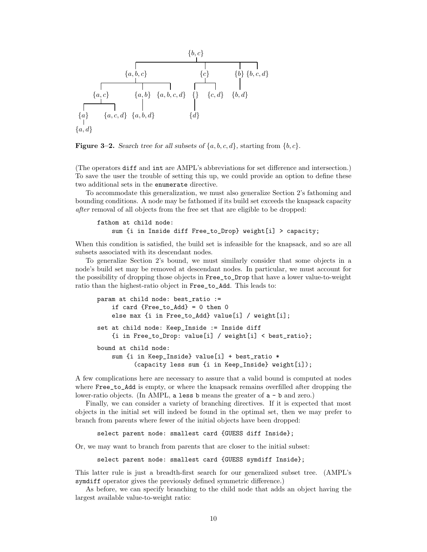

**Figure 3–2.** *Search tree for all subsets of*  $\{a, b, c, d\}$ , starting from  $\{b, c\}$ .

(The operators diff and int are AMPL's abbreviations for set difference and intersection.) To save the user the trouble of setting this up, we could provide an option to define these two additional sets in the enumerate directive.

To accommodate this generalization, we must also generalize Section 2's fathoming and bounding conditions. A node may be fathomed if its build set exceeds the knapsack capacity after removal of all objects from the free set that are eligible to be dropped:

fathom at child node: sum {i in Inside diff Free\_to\_Drop} weight[i] > capacity;

When this condition is satisfied, the build set is infeasible for the knapsack, and so are all subsets associated with its descendant nodes.

To generalize Section 2's bound, we must similarly consider that some objects in a node's build set may be removed at descendant nodes. In particular, we must account for the possibility of dropping those objects in Free\_to\_Drop that have a lower value-to-weight ratio than the highest-ratio object in Free\_to\_Add. This leads to:

```
param at child node: best_ratio :=
    if card {Free_to\_Add} = 0 then 0
    else max {i in Free_to_Add} value[i] / weight[i];
set at child node: Keep_Inside := Inside diff
    {i in Free_to_Drop: value[i] / weight[i] < best_ratio};
bound at child node:
    sum {i in Keep_Inside} value[i] + best_ratio *
          (capacity less sum {i in Keep_Inside} weight[i]);
```
A few complications here are necessary to assure that a valid bound is computed at nodes where Free\_to\_Add is empty, or where the knapsack remains overfilled after dropping the lower-ratio objects. (In AMPL, a less b means the greater of  $a - b$  and zero.)

Finally, we can consider a variety of branching directives. If it is expected that most objects in the initial set will indeed be found in the optimal set, then we may prefer to branch from parents where fewer of the initial objects have been dropped:

select parent node: smallest card {GUESS diff Inside};

Or, we may want to branch from parents that are closer to the initial subset:

select parent node: smallest card {GUESS symdiff Inside};

This latter rule is just a breadth-first search for our generalized subset tree. (AMPL's symdiff operator gives the previously defined symmetric difference.)

As before, we can specify branching to the child node that adds an object having the largest available value-to-weight ratio: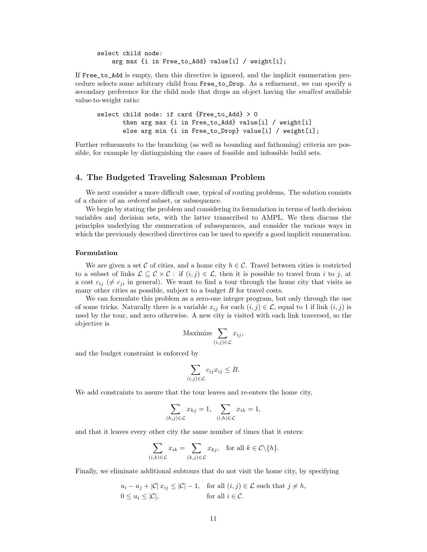```
select child node:
    arg max {i in Free_to_Add} value[i] / weight[i];
```
If Free\_to\_Add is empty, then this directive is ignored, and the implicit enumeration procedure selects some arbitrary child from Free\_to\_Drop. As a refinement, we can specify a secondary preference for the child node that drops an object having the *smallest* available value-to-weight ratio:

select child node: if card {Free\_to\_Add} > 0 then arg max {i in Free\_to\_Add} value[i] / weight[i] else arg min {i in Free\_to\_Drop} value[i] / weight[i];

Further refinements to the branching (as well as bounding and fathoming) criteria are possible, for example by distinguishing the cases of feasible and infeasible build sets.

## **4. The Budgeted Traveling Salesman Problem**

We next consider a more difficult case, typical of routing problems. The solution consists of a choice of an ordered subset, or subsequence.

We begin by stating the problem and considering its formulation in terms of both decision variables and decision sets, with the latter transcribed to AMPL. We then discuss the principles underlying the enumeration of subsequences, and consider the various ways in which the previously described directives can be used to specify a good implicit enumeration.

# **Formulation**

We are given a set C of cities, and a home city  $h \in \mathcal{C}$ . Travel between cities is restricted to a subset of links  $\mathcal{L} \subseteq \mathcal{C} \times \mathcal{C}$ : if  $(i, j) \in \mathcal{L}$ , then it is possible to travel from *i* to *j*, at a cost  $c_{ij} \ (\neq c_{ji}$  in general). We want to find a tour through the home city that visits as many other cities as possible, subject to a budget *B* for travel costs.

We can formulate this problem as a zero-one integer program, but only through the use of some tricks. Naturally there is a variable  $x_{ij}$  for each  $(i, j) \in \mathcal{L}$ , equal to 1 if link  $(i, j)$  is used by the tour, and zero otherwise. A new city is visited with each link traversed, so the objective is

Maximize 
$$
\sum_{(i,j)\in\mathcal{L}} x_{ij}
$$
,

and the budget constraint is enforced by

$$
\sum_{(i,j)\in\mathcal{L}}c_{ij}x_{ij}\leq B.
$$

We add constraints to assure that the tour leaves and re-enters the home city,

$$
\sum_{(h,j)\in\mathcal{L}} x_{hj} = 1, \sum_{(i,h)\in\mathcal{L}} x_{ih} = 1,
$$

and that it leaves every other city the same number of times that it enters:

$$
\sum_{(i,k)\in\mathcal{L}} x_{ik} = \sum_{(k,j)\in\mathcal{L}} x_{kj}, \text{ for all } k \in \mathcal{C}\backslash\{h\}.
$$

Finally, we eliminate additional subtours that do not visit the home city, by specifying

$$
u_i - u_j + |\mathcal{C}| \, x_{ij} \le |\mathcal{C}| - 1, \quad \text{for all } (i, j) \in \mathcal{L} \text{ such that } j \ne h,
$$
  

$$
0 \le u_i \le |\mathcal{C}|, \qquad \text{for all } i \in \mathcal{C}.
$$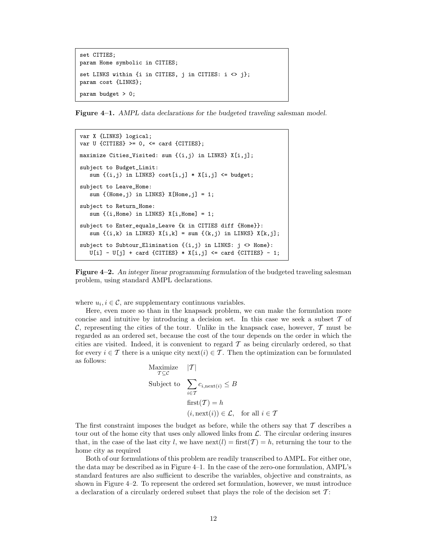```
set CITIES;
param Home symbolic in CITIES;
set LINKS within {i in CITIES, j in CITIES: i \leftrightarrow j};
param cost {LINKS};
param budget > 0;
```
**Figure 4–1.** *AMPL data declarations for the budgeted traveling salesman model.*

```
var X {LINKS} logical;
var U {CITIES} >= 0, <= card {CITIES};
maximize Cities_Visited: sum {(i,j) in LINKS} X[i,j];
subject to Budget_Limit:
   sum \{(i,j) in LINKS} cost[i,j] * X[i,j] <= budget;
subject to Leave_Home:
   sum {(Home,j) in LINKS} X[Home,j] = 1;
subject to Return_Home:
   sum {(i,Home) in LINKS} X[i,Home] = 1;
subject to Enter_equals_Leave {k in CITIES diff {Home}}:
   sum \{(i,k) in LINKS} X[i,k] = \text{sum } \{(k,j) \text{ in LINKS} } X[k,j];subject to Subtour_Elimination \{(i,j) in LINKS: j \Leftrightarrow Home}:
   U[i] - U[j] + card {CITIES} * X[i,j] \leq card {CITIES} - 1;
```
**Figure 4–2.** *An integer linear programming formulation* of the budgeted traveling salesman problem, using standard AMPL declarations.

where  $u_i, i \in \mathcal{C}$ , are supplementary continuous variables.

Here, even more so than in the knapsack problem, we can make the formulation more concise and intuitive by introducing a decision set. In this case we seek a subset  $\mathcal T$  of C, representing the cities of the tour. Unlike in the knapsack case, however,  $\tau$  must be regarded as an ordered set, because the cost of the tour depends on the order in which the cities are visited. Indeed, it is convenient to regard  $\mathcal T$  as being circularly ordered, so that for every  $i \in \mathcal{T}$  there is a unique city next( $i \in \mathcal{T}$ ). Then the optimization can be formulated as follows:  $|\tau|$ 

Maximize 
$$
|\mathcal{T}|
$$
  
\n $\tau \subseteq \mathcal{C}$   
\nSubject to  $\sum_{i \in \mathcal{T}} c_{i, \text{next}(i)} \leq B$   
\n $\text{first}(\mathcal{T}) = h$   
\n $(i, \text{next}(i)) \in \mathcal{L}$ , for all  $i \in \mathcal{T}$ 

The first constraint imposes the budget as before, while the others say that  $\mathcal T$  describes a tour out of the home city that uses only allowed links from  $\mathcal{L}$ . The circular ordering insures that, in the case of the last city *l*, we have next $(l) = \text{first}(\mathcal{T}) = h$ , returning the tour to the home city as required

Both of our formulations of this problem are readily transcribed to AMPL. For either one, the data may be described as in Figure 4–1. In the case of the zero-one formulation, AMPL's standard features are also sufficient to describe the variables, objective and constraints, as shown in Figure 4–2. To represent the ordered set formulation, however, we must introduce a declaration of a circularly ordered subset that plays the role of the decision set  $\mathcal{T}$ :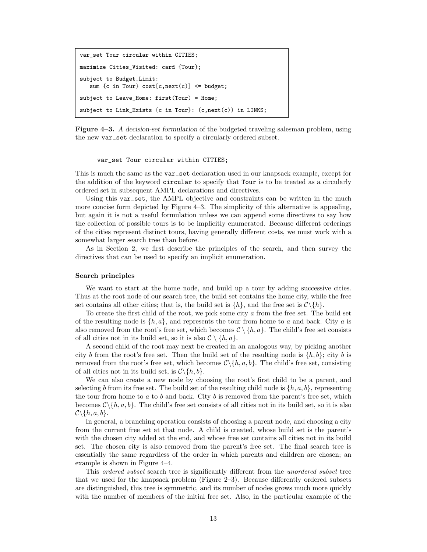```
var_set Tour circular within CITIES;
maximize Cities_Visited: card {Tour};
subject to Budget_Limit:
   sum {c in Tour} cost[c,next(c)] <= budget;
subject to Leave_Home: first(Tour) = Home;
subject to Link_Exists {c in Tour}: (c,next(c)) in LINKS;
```
**Figure 4–3.** *A decision-set formulation* of the budgeted traveling salesman problem, using the new var\_set declaration to specify a circularly ordered subset.

var\_set Tour circular within CITIES;

This is much the same as the var\_set declaration used in our knapsack example, except for the addition of the keyword circular to specify that Tour is to be treated as a circularly ordered set in subsequent AMPL declarations and directives.

Using this var\_set, the AMPL objective and constraints can be written in the much more concise form depicted by Figure 4–3. The simplicity of this alternative is appealing, but again it is not a useful formulation unless we can append some directives to say how the collection of possible tours is to be implicitly enumerated. Because different orderings of the cities represent distinct tours, having generally different costs, we must work with a somewhat larger search tree than before.

As in Section 2, we first describe the principles of the search, and then survey the directives that can be used to specify an implicit enumeration.

#### **Search principles**

We want to start at the home node, and build up a tour by adding successive cities. Thus at the root node of our search tree, the build set contains the home city, while the free set contains all other cities; that is, the build set is  $\{h\}$ , and the free set is  $\mathcal{C}\setminus\{h\}$ .

To create the first child of the root, we pick some city *a* from the free set. The build set of the resulting node is {*h, a*}, and represents the tour from home to *a* and back. City *a* is also removed from the root's free set, which becomes  $C \setminus \{h, a\}$ . The child's free set consists of all cities not in its build set, so it is also  $\mathcal{C}\setminus\{h,a\}.$ 

A second child of the root may next be created in an analogous way, by picking another city *b* from the root's free set. Then the build set of the resulting node is  $\{h, b\}$ ; city *b* is removed from the root's free set, which becomes  $C\{h, a, b\}$ . The child's free set, consisting of all cities not in its build set, is  $\mathcal{C}\backslash\{h,b\}.$ 

We can also create a new node by choosing the root's first child to be a parent, and selecting *b* from its free set. The build set of the resulting child node is  $\{h, a, b\}$ , representing the tour from home to *a* to *b* and back. City *b* is removed from the parent's free set, which becomes  $C\setminus\{h, a, b\}$ . The child's free set consists of all cities not in its build set, so it is also  $\mathcal{C}\backslash\{h,a,b\}.$ 

In general, a branching operation consists of choosing a parent node, and choosing a city from the current free set at that node. A child is created, whose build set is the parent's with the chosen city added at the end, and whose free set contains all cities not in its build set. The chosen city is also removed from the parent's free set. The final search tree is essentially the same regardless of the order in which parents and children are chosen; an example is shown in Figure 4–4.

This ordered subset search tree is significantly different from the unordered subset tree that we used for the knapsack problem (Figure 2–3). Because differently ordered subsets are distinguished, this tree is symmetric, and its number of nodes grows much more quickly with the number of members of the initial free set. Also, in the particular example of the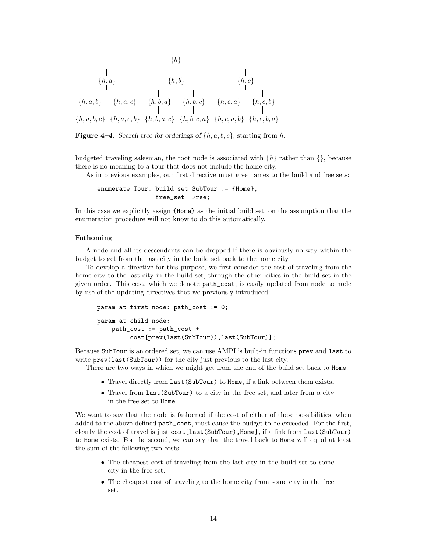

**Figure 4–4.** *Search tree for orderings of* {*h, a, b, c*}*,* starting from *h*.

budgeted traveling salesman, the root node is associated with  $\{h\}$  rather than  $\{\}$ , because there is no meaning to a tour that does not include the home city.

As in previous examples, our first directive must give names to the build and free sets:

```
enumerate Tour: build_set SubTour := {Home},
                free set Free:
```
In this case we explicitly assign {Home} as the initial build set, on the assumption that the enumeration procedure will not know to do this automatically.

## **Fathoming**

A node and all its descendants can be dropped if there is obviously no way within the budget to get from the last city in the build set back to the home city.

To develop a directive for this purpose, we first consider the cost of traveling from the home city to the last city in the build set, through the other cities in the build set in the given order. This cost, which we denote path\_cost, is easily updated from node to node by use of the updating directives that we previously introduced:

```
param at first node: path_cost := 0;
param at child node:
   path_cost := path_cost +
         cost[prev(last(SubTour)),last(SubTour)];
```
Because SubTour is an ordered set, we can use AMPL's built-in functions prev and last to write  $prev( $last(SubTour)$ ) for the city just previous to the last city.$ 

There are two ways in which we might get from the end of the build set back to Home:

- Travel directly from last (SubTour) to Home, if a link between them exists.
- Travel from last (SubTour) to a city in the free set, and later from a city in the free set to Home.

We want to say that the node is fathomed if the cost of either of these possibilities, when added to the above-defined path\_cost, must cause the budget to be exceeded. For the first, clearly the cost of travel is just cost[last(SubTour),Home], if a link from last(SubTour) to Home exists. For the second, we can say that the travel back to Home will equal at least the sum of the following two costs:

- The cheapest cost of traveling from the last city in the build set to some city in the free set.
- The cheapest cost of traveling to the home city from some city in the free set.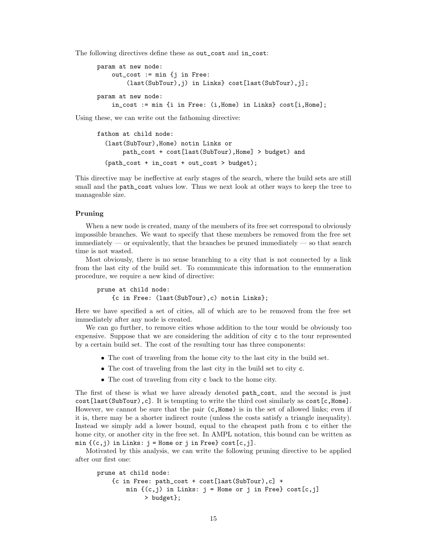The following directives define these as out\_cost and in\_cost:

```
param at new node:
    out\_cost := min {j in Free:
        (last(SubTour),j) in Links} cost[last(SubTour),j];
param at new node:
    in_cost := min {i in Free: (i,Home) in Links} cost[i,Home];
```
Using these, we can write out the fathoming directive:

```
fathom at child node:
  (last(SubTour),Home) notin Links or
       path_cost + cost[last(SubTour),Home] > budget) and
  (path_cost + in_cost + out_cost > budget);
```
This directive may be ineffective at early stages of the search, where the build sets are still small and the path\_cost values low. Thus we next look at other ways to keep the tree to manageable size.

## **Pruning**

When a new node is created, many of the members of its free set correspond to obviously impossible branches. We want to specify that these members be removed from the free set immediately — or equivalently, that the branches be pruned immediately — so that search time is not wasted.

Most obviously, there is no sense branching to a city that is not connected by a link from the last city of the build set. To communicate this information to the enumeration procedure, we require a new kind of directive:

```
prune at child node:
    {c in Free: (last(SubTour),c) notin Links};
```
Here we have specified a set of cities, all of which are to be removed from the free set immediately after any node is created.

We can go further, to remove cities whose addition to the tour would be obviously too expensive. Suppose that we are considering the addition of city c to the tour represented by a certain build set. The cost of the resulting tour has three components:

- The cost of traveling from the home city to the last city in the build set.
- The cost of traveling from the last city in the build set to city c.
- The cost of traveling from city c back to the home city.

The first of these is what we have already denoted path\_cost, and the second is just cost[last(SubTour),c]. It is tempting to write the third cost similarly as cost[c,Home]. However, we cannot be sure that the pair  $(c, Home)$  is in the set of allowed links; even if it is, there may be a shorter indirect route (unless the costs satisfy a triangle inequality). Instead we simply add a lower bound, equal to the cheapest path from c to either the home city, or another city in the free set. In AMPL notation, this bound can be written as min  $\{(c, j)$  in Links:  $j =$  Home or  $j$  in Free} cost[c,j].

Motivated by this analysis, we can write the following pruning directive to be applied after our first one:

```
prune at child node:
    {c in Free: path_cost + cost[last(SubTour),c] +
        min \{(c,j) in Links: j = Home or j in Free} cost[c,j]
             > budget};
```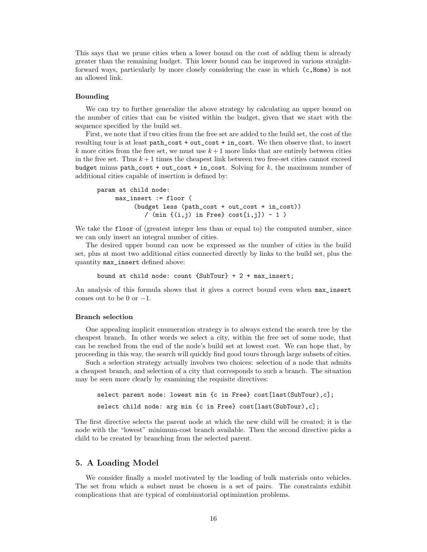This says that we prune cities when a lower bound on the cost of adding them is already greater than the remaining budget. This lower bound can be improved in various straightforward ways, particularly by more closely considering the case in which (c,Home) is not an allowed link.

#### **Bounding**

We can try to further generalize the above strategy by calculating an upper bound on the number of cities that can be visited within the budget, given that we start with the sequence specified by the build set.

First, we note that if two cities from the free set are added to the build set, the cost of the resulting tour is at least path\_cost + out\_cost + in\_cost. We then observe that, to insert  $k$  more cities from the free set, we must use  $k+1$  more links that are entirely between cities in the free set. Thus  $k+1$  times the cheapest link between two free-set cities cannot exceed budget minus path\_cost + out\_cost + in\_cost. Solving for *k*, the maximum number of additional cities capable of insertion is defined by:

```
param at child node:
     max_insert := floor (
           (budget less (path_cost + out_cost + in_cost))
              / (\min \{(i,j) \in \text{Free}\} \text{cost}[i,j]) - 1)
```
We take the floor of (greatest integer less than or equal to) the computed number, since we can only insert an integral number of cities.

The desired upper bound can now be expressed as the number of cities in the build set, plus at most two additional cities connected directly by links to the build set, plus the quantity max\_insert defined above:

```
bound at child node: count {SubTour}+2+ max_insert;
```
An analysis of this formula shows that it gives a correct bound even when max\_insert comes out to be 0 or  $-1$ .

#### **Branch selection**

One appealing implicit enumeration strategy is to always extend the search tree by the cheapest branch. In other words we select a city, within the free set of some node, that can be reached from the end of the node's build set at lowest cost. We can hope that, by proceeding in this way, the search will quickly find good tours through large subsets of cities.

Such a selection strategy actually involves two choices: selection of a node that admits a cheapest branch, and selection of a city that corresponds to such a branch. The situation may be seen more clearly by examining the requisite directives:

```
select parent node: lowest min {c in Free} cost[last(SubTour),c];
select child node: arg min {c in Free} cost[last(SubTour),c];
```
The first directive selects the parent node at which the new child will be created; it is the node with the "lowest" minimum-cost branch available. Then the second directive picks a child to be created by branching from the selected parent.

# **5. A Loading Model**

We consider finally a model motivated by the loading of bulk materials onto vehicles. The set from which a subset must be chosen is a set of pairs. The constraints exhibit complications that are typical of combinatorial optimization problems.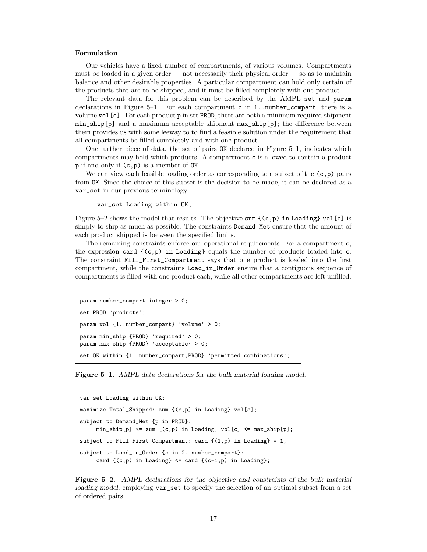#### **Formulation**

Our vehicles have a fixed number of compartments, of various volumes. Compartments must be loaded in a given order — not necessarily their physical order — so as to maintain balance and other desirable properties. A particular compartment can hold only certain of the products that are to be shipped, and it must be filled completely with one product.

The relevant data for this problem can be described by the AMPL set and param declarations in Figure 5–1. For each compartment c in 1..number\_compart, there is a volume vol[c]. For each product p in set PROD, there are both a minimum required shipment min\_ship[p] and a maximum acceptable shipment max\_ship[p]; the difference between them provides us with some leeway to to find a feasible solution under the requirement that all compartments be filled completely and with one product.

One further piece of data, the set of pairs OK declared in Figure 5–1, indicates which compartments may hold which products. A compartment c is allowed to contain a product p if and only if (c,p) is a member of OK.

We can view each feasible loading order as corresponding to a subset of the  $(c, p)$  pairs from OK. Since the choice of this subset is the decision to be made, it can be declared as a var\_set in our previous terminology:

```
var_set Loading within OK;
```
Figure 5–2 shows the model that results. The objective sum  $\{ (c,p) \text{ in }$  Loading vol[c] is simply to ship as much as possible. The constraints Demand\_Met ensure that the amount of each product shipped is between the specified limits.

The remaining constraints enforce our operational requirements. For a compartment c, the expression card  $\{(c,p)$  in Loading equals the number of products loaded into c. The constraint Fill\_First\_Compartment says that one product is loaded into the first compartment, while the constraints Load\_in\_Order ensure that a contiguous sequence of compartments is filled with one product each, while all other compartments are left unfilled.

```
param number_compart integer > 0;
set PROD 'products';
param vol {1..number_compart} 'volume' > 0;
param min_ship {PROD} 'required' > 0;
param max_ship {PROD} 'acceptable' > 0;
set OK within {1..number_compart,PROD} 'permitted combinations';
```
**Figure 5–1.** *AMPL data declarations for the bulk material loading model.*

```
var_set Loading within OK;
maximize Total_Shipped: sum {(c,p) in Loading} vol[c];
subject to Demand_Met {p in PROD}:
     min\_ship[p] \leq sum \{ (c,p) \in Is~[c] \text{ valid} \leq max\_ship[p] \}subject to Fill_First_Compartment: card \{(1,p) in Loading} = 1;
subject to Load_in_Order {c in 2..number_compart}:
     card \{(c,p) in Loading} \leq card \{(c-1,p) in Loading};
```
**Figure 5–2.** *AMPL declarations for the objective and constraints of the bulk material loading model,* employing var\_set to specify the selection of an optimal subset from a set of ordered pairs.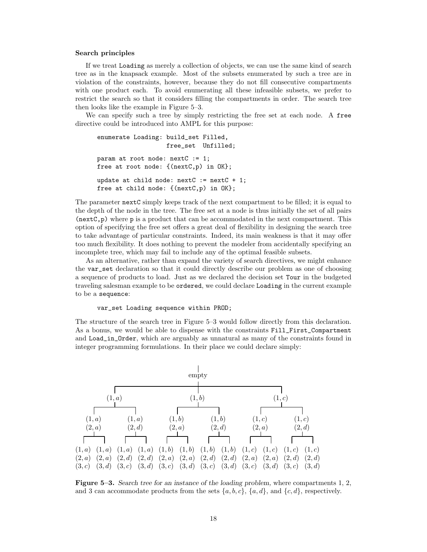#### **Search principles**

If we treat Loading as merely a collection of objects, we can use the same kind of search tree as in the knapsack example. Most of the subsets enumerated by such a tree are in violation of the constraints, however, because they do not fill consecutive compartments with one product each. To avoid enumerating all these infeasible subsets, we prefer to restrict the search so that it considers filling the compartments in order. The search tree then looks like the example in Figure 5–3.

We can specify such a tree by simply restricting the free set at each node. A free directive could be introduced into AMPL for this purpose:

```
enumerate Loading: build_set Filled,
                   free_set Unfilled;
param at root node: nextC := 1;
free at root node: {(nextC,p) in OK};
update at child node: nextC := nextC + 1;
free at child node: {(nextC,p) in OK};
```
The parameter next C simply keeps track of the next compartment to be filled; it is equal to the depth of the node in the tree. The free set at a node is thus initially the set of all pairs  $(nextC, p)$  where p is a product that can be accommodated in the next compartment. This option of specifying the free set offers a great deal of flexibility in designing the search tree to take advantage of particular constraints. Indeed, its main weakness is that it may offer too much flexibility. It does nothing to prevent the modeler from accidentally specifying an incomplete tree, which may fail to include any of the optimal feasible subsets.

As an alternative, rather than expand the variety of search directives, we might enhance the var\_set declaration so that it could directly describe our problem as one of choosing a sequence of products to load. Just as we declared the decision set Tour in the budgeted traveling salesman example to be ordered, we could declare Loading in the current example to be a sequence:

#### var\_set Loading sequence within PROD;

The structure of the search tree in Figure 5–3 would follow directly from this declaration. As a bonus, we would be able to dispense with the constraints Fill\_First\_Compartment and Load\_in\_Order, which are arguably as unnatural as many of the constraints found in integer programming formulations. In their place we could declare simply:



**Figure 5–3.** *Search tree for an instance of the loading problem,* where compartments 1, 2, and 3 can accommodate products from the sets  $\{a, b, c\}$ ,  $\{a, d\}$ , and  $\{c, d\}$ , respectively.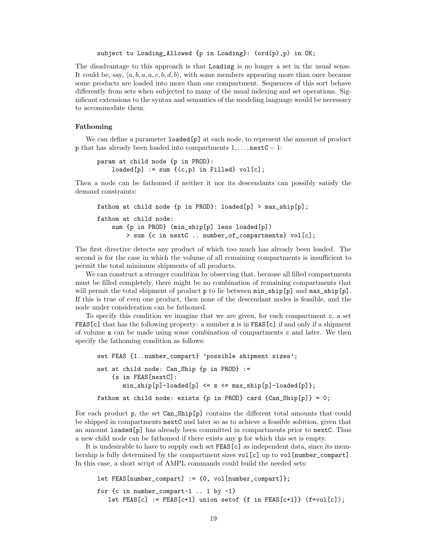subject to Loading\_Allowed {p in Loading}: (ord(p),p) in OK;

The disadvantage to this approach is that Loading is no longer a set in the usual sense. It could be, say,  $\langle a, b, a, a, c, b, d, b \rangle$ , with some members appearing more than once because some products are loaded into more than one compartment. Sequences of this sort behave differently from sets when subjected to many of the usual indexing and set operations. Significant extensions to the syntax and semantics of the modeling language would be necessary to accommodate them.

## **Fathoming**

We can define a parameter loaded [p] at each node, to represent the amount of product p that has already been loaded into compartments 1*,...,* nextC − 1:

```
param at child node {p in PROD}:
   load[p] := sum { (c,p) in Filled } vol[c];
```
Then a node can be fathomed if neither it nor its descendants can possibly satisfy the demand constraints:

```
fathom at child node {p in PROD}: loaded[p] > max_ship[p];
fathom at child node:
    sum {p in PROD} (min_ship[p] less loaded[p])
        > sum {c in nextC .. number_of_compartments} vol[c];
```
The first directive detects any product of which too much has already been loaded. The second is for the case in which the volume of all remaining compartments is insufficient to permit the total minimum shipments of all products.

We can construct a stronger condition by observing that, because all filled compartments must be filled completely, there might be no combination of remaining compartments that will permit the total shipment of product  $p$  to lie between  $min\_ship[p]$  and  $max\_ship[p]$ . If this is true of even one product, then none of the descendant nodes is feasible, and the node under consideration can be fathomed.

To specify this condition we imagine that we are given, for each compartment c, a set FEAS[c] that has the following property: a number s is in FEAS[c] if and only if a shipment of volume s can be made using some combination of compartments c and later. We then specify the fathoming condition as follows:

```
set FEAS {1..number_compart} 'possible shipment sizes';
set at child node: Can_Ship {p in PROD} :=
    {s in FEAS[nextC]:
       min\_ship[p] - loaded[p] \le s \le max\_ship[p] - loaded[p];fathom at child node: exists {p in PROD} card {Can_Ship[p]} = 0;
```
For each product p, the set Can\_Ship[p] contains the different total amounts that could be shipped in compartments nextC and later so as to achieve a feasible solution, given that an amount loaded[p] has already been committed in compartments prior to nextC. Thus a new child node can be fathomed if there exists any p for which this set is empty.

It is undesirable to have to supply each set FEAS[c] as independent data, since its membership is fully determined by the compartment sizes vol[c] up to vol[number\_compart]. In this case, a short script of AMPL commands could build the needed sets:

```
let FEAS[number_compart] := {0, vol[number_compart]};
for {c in number_compart-1 .. 1 by -1}
   let FEAS[c] := FEAS[c+1] union setof \{f \text{ in } FEAS[c+1]\} (f+vol[c]);
```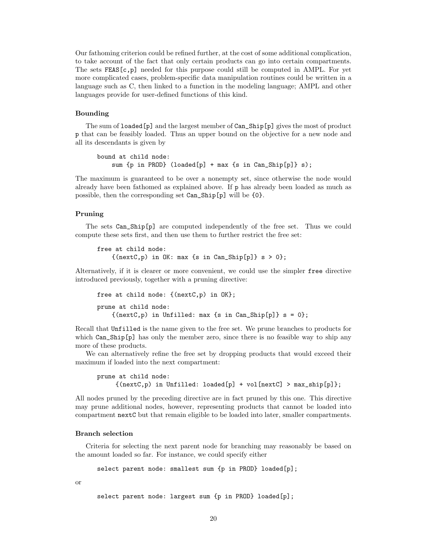Our fathoming criterion could be refined further, at the cost of some additional complication, to take account of the fact that only certain products can go into certain compartments. The sets  $FEAS[c, p]$  needed for this purpose could still be computed in AMPL. For yet more complicated cases, problem-specific data manipulation routines could be written in a language such as C, then linked to a function in the modeling language; AMPL and other languages provide for user-defined functions of this kind.

#### **Bounding**

The sum of loaded[p] and the largest member of Can\_Ship[p] gives the most of product p that can be feasibly loaded. Thus an upper bound on the objective for a new node and all its descendants is given by

```
bound at child node:
    sum {p in PROD} (loaded[p] + max {s in Can_Ship[p]} s);
```
The maximum is guaranteed to be over a nonempty set, since otherwise the node would already have been fathomed as explained above. If p has already been loaded as much as possible, then the corresponding set Can\_Ship[p] will be {0}.

# **Pruning**

The sets Can\_Ship[p] are computed independently of the free set. Thus we could compute these sets first, and then use them to further restrict the free set:

```
free at child node:
    \{(nextC,p) in OK: max \{s in Can\_ Ship[p]\} s > 0\};
```
Alternatively, if it is clearer or more convenient, we could use the simpler free directive introduced previously, together with a pruning directive:

```
free at child node: {(nextC,p) in OK};
prune at child node:
    {(nextC,p) in Unfilled: max {s in Can-Ship[p]} s = 0};
```
Recall that Unfilled is the name given to the free set. We prune branches to products for which Can\_Ship[p] has only the member zero, since there is no feasible way to ship any more of these products.

We can alternatively refine the free set by dropping products that would exceed their maximum if loaded into the next compartment:

```
prune at child node:
     {(nextC,p) in Unfilled: loaded[p] + vol[nextC] > max\_ship[p]};
```
All nodes pruned by the preceding directive are in fact pruned by this one. This directive may prune additional nodes, however, representing products that cannot be loaded into compartment nextC but that remain eligible to be loaded into later, smaller compartments.

## **Branch selection**

Criteria for selecting the next parent node for branching may reasonably be based on the amount loaded so far. For instance, we could specify either

```
select parent node: smallest sum {p in PROD} loaded[p];
```
or

```
select parent node: largest sum {p in PROD} loaded[p];
```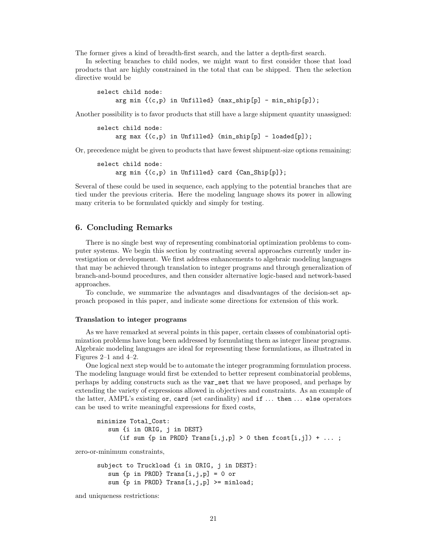The former gives a kind of breadth-first search, and the latter a depth-first search.

In selecting branches to child nodes, we might want to first consider those that load products that are highly constrained in the total that can be shipped. Then the selection directive would be

select child node: arg min  $\{(c,p)$  in Unfilled}  $(max\_ship[p] - min\_ship[p])$ ;

Another possibility is to favor products that still have a large shipment quantity unassigned:

select child node: arg max  $\{(c,p)$  in Unfilled}  $(\min\_{ship[p]} - \text{loaded[p]});$ 

Or, precedence might be given to products that have fewest shipment-size options remaining:

```
select child node:
     arg min {(c,p) in Unfilled} card {Can_Ship[p]};
```
Several of these could be used in sequence, each applying to the potential branches that are tied under the previous criteria. Here the modeling language shows its power in allowing many criteria to be formulated quickly and simply for testing.

# **6. Concluding Remarks**

There is no single best way of representing combinatorial optimization problems to computer systems. We begin this section by contrasting several approaches currently under investigation or development. We first address enhancements to algebraic modeling languages that may be achieved through translation to integer programs and through generalization of branch-and-bound procedures, and then consider alternative logic-based and network-based approaches.

To conclude, we summarize the advantages and disadvantages of the decision-set approach proposed in this paper, and indicate some directions for extension of this work.

#### **Translation to integer programs**

As we have remarked at several points in this paper, certain classes of combinatorial optimization problems have long been addressed by formulating them as integer linear programs. Algebraic modeling languages are ideal for representing these formulations, as illustrated in Figures 2–1 and 4–2.

One logical next step would be to automate the integer programming formulation process. The modeling language would first be extended to better represent combinatorial problems, perhaps by adding constructs such as the var\_set that we have proposed, and perhaps by extending the variety of expressions allowed in objectives and constraints. As an example of the latter, AMPL's existing or, card (set cardinality) and if ... then ... else operators can be used to write meaningful expressions for fixed costs,

```
minimize Total_Cost:
   sum {i in ORIG, j in DEST}
      (if sum {p \text{ in } PROD} Trans[i,j,p] > 0 then fcost[i,j]) + ...;
```
zero-or-minimum constraints,

```
subject to Truckload {i in ORIG, j in DEST}:
   sum {p \text{ in } PROD} Trans[i,j,p] = 0 or
   sum {p in PROD} Trans[i,j,p] >= minload;
```
and uniqueness restrictions: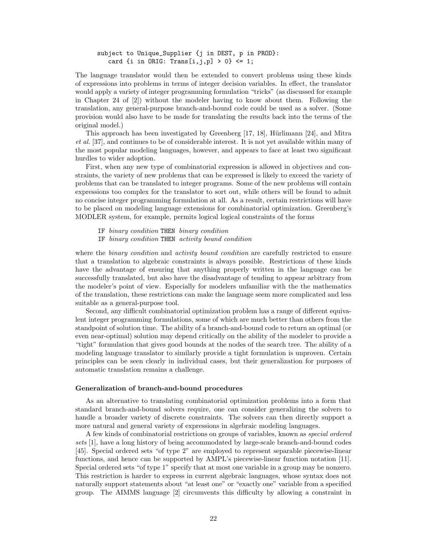subject to Unique\_Supplier {j in DEST, p in PROD}: card  $\{i$  in ORIG: Trans $[i,j,p] > 0\} \leq 1$ ;

The language translator would then be extended to convert problems using these kinds of expressions into problems in terms of integer decision variables. In effect, the translator would apply a variety of integer programming formulation "tricks" (as discussed for example in Chapter 24 of [2]) without the modeler having to know about them. Following the translation, any general-purpose branch-and-bound code could be used as a solver. (Some provision would also have to be made for translating the results back into the terms of the original model.)

This approach has been investigated by Greenberg  $[17, 18]$ , Hürlimann  $[24]$ , and Mitra et al. [37], and continues to be of considerable interest. It is not yet available within many of the most popular modeling languages, however, and appears to face at least two significant hurdles to wider adoption.

First, when any new type of combinatorial expression is allowed in objectives and constraints, the variety of new problems that can be expressed is likely to exceed the variety of problems that can be translated to integer programs. Some of the new problems will contain expressions too complex for the translator to sort out, while others will be found to admit no concise integer programming formulation at all. As a result, certain restrictions will have to be placed on modeling language extensions for combinatorial optimization. Greenberg's MODLER system, for example, permits logical logical constraints of the forms

IF binary condition THEN binary condition IF binary condition THEN activity bound condition

where the *binary condition* and *activity bound condition* are carefully restricted to ensure that a translation to algebraic constraints is always possible. Restrictions of these kinds have the advantage of ensuring that anything properly written in the language can be successfully translated, but also have the disadvantage of tending to appear arbitrary from the modeler's point of view. Especially for modelers unfamiliar with the the mathematics of the translation, these restrictions can make the language seem more complicated and less suitable as a general-purpose tool.

Second, any difficult combinatorial optimization problem has a range of different equivalent integer programming formulations, some of which are much better than others from the standpoint of solution time. The ability of a branch-and-bound code to return an optimal (or even near-optimal) solution may depend critically on the ability of the modeler to provide a "tight" formulation that gives good bounds at the nodes of the search tree. The ability of a modeling language translator to similarly provide a tight formulation is unproven. Certain principles can be seen clearly in individual cases, but their generalization for purposes of automatic translation remains a challenge.

#### **Generalization of branch-and-bound procedures**

As an alternative to translating combinatorial optimization problems into a form that standard branch-and-bound solvers require, one can consider generalizing the solvers to handle a broader variety of discrete constraints. The solvers can then directly support a more natural and general variety of expressions in algebraic modeling languages.

A few kinds of combinatorial restrictions on groups of variables, known as special ordered sets [1], have a long history of being accommodated by large-scale branch-and-bound codes [45]. Special ordered sets "of type 2" are employed to represent separable piecewise-linear functions, and hence can be supported by AMPL's piecewise-linear function notation [11]. Special ordered sets "of type 1" specify that at most one variable in a group may be nonzero. This restriction is harder to express in current algebraic languages, whose syntax does not naturally support statements about "at least one" or "exactly one" variable from a specified group. The AIMMS language [2] circumvents this difficulty by allowing a constraint in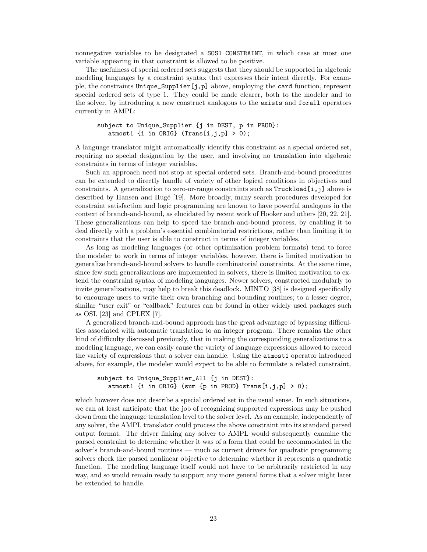nonnegative variables to be designated a SOS1 CONSTRAINT, in which case at most one variable appearing in that constraint is allowed to be positive.

The usefulness of special ordered sets suggests that they should be supported in algebraic modeling languages by a constraint syntax that expresses their intent directly. For example, the constraints Unique\_Supplier[j,p] above, employing the card function, represent special ordered sets of type 1. They could be made clearer, both to the modeler and to the solver, by introducing a new construct analogous to the exists and forall operators currently in AMPL:

```
subject to Unique_Supplier {j in DEST, p in PROD}:
   atmost1 {i in ORIG} (Trans[i,j,p] > 0);
```
A language translator might automatically identify this constraint as a special ordered set, requiring no special designation by the user, and involving no translation into algebraic constraints in terms of integer variables.

Such an approach need not stop at special ordered sets. Branch-and-bound procedures can be extended to directly handle of variety of other logical conditions in objectives and constraints. A generalization to zero-or-range constraints such as  $Truckload[i,j]$  above is described by Hansen and Hugé [19]. More broadly, many search procedures developed for constraint satisfaction and logic programming are known to have powerful analogues in the context of branch-and-bound, as elucidated by recent work of Hooker and others [20, 22, 21]. These generalizations can help to speed the branch-and-bound process, by enabling it to deal directly with a problem's essential combinatorial restrictions, rather than limiting it to constraints that the user is able to construct in terms of integer variables.

As long as modeling languages (or other optimization problem formats) tend to force the modeler to work in terms of integer variables, however, there is limited motivation to generalize branch-and-bound solvers to handle combinatorial constraints. At the same time, since few such generalizations are implemented in solvers, there is limited motivation to extend the constraint syntax of modeling languages. Newer solvers, constructed modularly to invite generalizations, may help to break this deadlock. MINTO [38] is designed specifically to encourage users to write their own branching and bounding routines; to a lesser degree, similar "user exit" or "callback" features can be found in other widely used packages such as OSL [23] and CPLEX [7].

A generalized branch-and-bound approach has the great advantage of bypassing difficulties associated with automatic translation to an integer program. There remains the other kind of difficulty discussed previously, that in making the corresponding generalizations to a modeling language, we can easily cause the variety of language expressions allowed to exceed the variety of expressions that a solver can handle. Using the atmost1 operator introduced above, for example, the modeler would expect to be able to formulate a related constraint,

```
subject to Unique_Supplier_All {j in DEST}:
   atmost1 {i in ORIG} (sum {p in PROD} Trans[i,j,p] > 0);
```
which however does not describe a special ordered set in the usual sense. In such situations, we can at least anticipate that the job of recognizing supported expressions may be pushed down from the language translation level to the solver level. As an example, independently of any solver, the AMPL translator could process the above constraint into its standard parsed output format. The driver linking any solver to AMPL would subsequently examine the parsed constraint to determine whether it was of a form that could be accommodated in the solver's branch-and-bound routines — much as current drivers for quadratic programming solvers check the parsed nonlinear objective to determine whether it represents a quadratic function. The modeling language itself would not have to be arbitrarily restricted in any way, and so would remain ready to support any more general forms that a solver might later be extended to handle.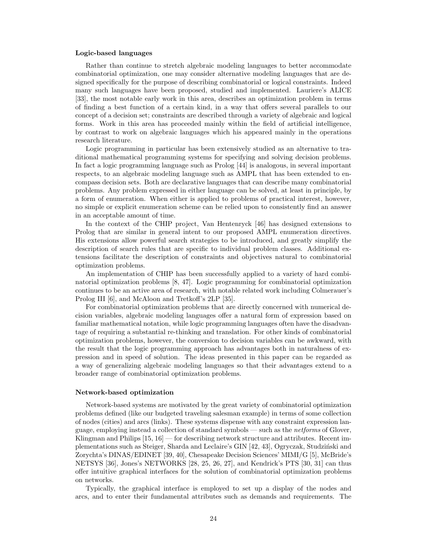#### **Logic-based languages**

Rather than continue to stretch algebraic modeling languages to better accommodate combinatorial optimization, one may consider alternative modeling languages that are designed specifically for the purpose of describing combinatorial or logical constraints. Indeed many such languages have been proposed, studied and implemented. Lauriere's ALICE [33], the most notable early work in this area, describes an optimization problem in terms of finding a best function of a certain kind, in a way that offers several parallels to our concept of a decision set; constraints are described through a variety of algebraic and logical forms. Work in this area has proceeded mainly within the field of artificial intelligence, by contrast to work on algebraic languages which his appeared mainly in the operations research literature.

Logic programming in particular has been extensively studied as an alternative to traditional mathematical programming systems for specifying and solving decision problems. In fact a logic programming language such as Prolog [44] is analogous, in several important respects, to an algebraic modeling language such as AMPL that has been extended to encompass decision sets. Both are declarative languages that can describe many combinatorial problems. Any problem expressed in either language can be solved, at least in principle, by a form of enumeration. When either is applied to problems of practical interest, however, no simple or explicit enumeration scheme can be relied upon to consistently find an answer in an acceptable amount of time.

In the context of the CHIP project, Van Hentenryck [46] has designed extensions to Prolog that are similar in general intent to our proposed AMPL enumeration directives. His extensions allow powerful search strategies to be introduced, and greatly simplify the description of search rules that are specific to individual problem classes. Additional extensions facilitate the description of constraints and objectives natural to combinatorial optimization problems.

An implementation of CHIP has been successfully applied to a variety of hard combinatorial optimization problems [8, 47]. Logic programming for combinatorial optimization continues to be an active area of research, with notable related work including Colmerauer's Prolog III [6], and McAloon and Tretkoff's 2LP [35].

For combinatorial optimization problems that are directly concerned with numerical decision variables, algebraic modeling languages offer a natural form of expression based on familiar mathematical notation, while logic programming languages often have the disadvantage of requiring a substantial re-thinking and translation. For other kinds of combinatorial optimization problems, however, the conversion to decision variables can be awkward, with the result that the logic programming approach has advantages both in naturalness of expression and in speed of solution. The ideas presented in this paper can be regarded as a way of generalizing algebraic modeling languages so that their advantages extend to a broader range of combinatorial optimization problems.

#### **Network-based optimization**

Network-based systems are motivated by the great variety of combinatorial optimization problems defined (like our budgeted traveling salesman example) in terms of some collection of nodes (cities) and arcs (links). These systems dispense with any constraint expression language, employing instead a collection of standard symbols — such as the netforms of Glover, Klingman and Philips  $[15, 16]$  — for describing network structure and attributes. Recent implementations such as Steiger, Sharda and Leclaire's GIN [42, 43], Ogryczak, Studziński and Zorychta's DINAS/EDINET [39, 40], Chesapeake Decision Sciences' MIMI/G [5], McBride's NETSYS [36], Jones's NETWORKS [28, 25, 26, 27], and Kendrick's PTS [30, 31] can thus offer intuitive graphical interfaces for the solution of combinatorial optimization problems on networks.

Typically, the graphical interface is employed to set up a display of the nodes and arcs, and to enter their fundamental attributes such as demands and requirements. The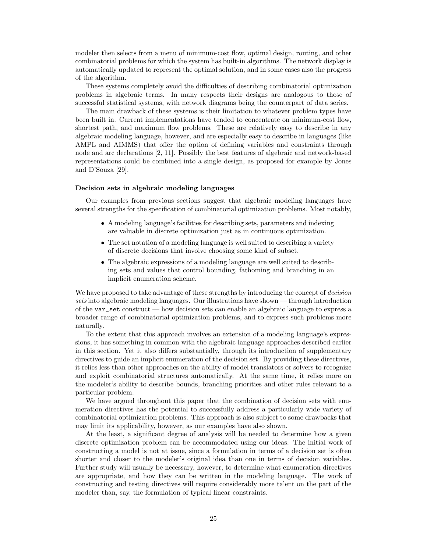modeler then selects from a menu of minimum-cost flow, optimal design, routing, and other combinatorial problems for which the system has built-in algorithms. The network display is automatically updated to represent the optimal solution, and in some cases also the progress of the algorithm.

These systems completely avoid the difficulties of describing combinatorial optimization problems in algebraic terms. In many respects their designs are analogous to those of successful statistical systems, with network diagrams being the counterpart of data series.

The main drawback of these systems is their limitation to whatever problem types have been built in. Current implementations have tended to concentrate on minimum-cost flow, shortest path, and maximum flow problems. These are relatively easy to describe in any algebraic modeling language, however, and are especially easy to describe in languages (like AMPL and AIMMS) that offer the option of defining variables and constraints through node and arc declarations [2, 11]. Possibly the best features of algebraic and network-based representations could be combined into a single design, as proposed for example by Jones and D'Souza [29].

#### **Decision sets in algebraic modeling languages**

Our examples from previous sections suggest that algebraic modeling languages have several strengths for the specification of combinatorial optimization problems. Most notably,

- A modeling language's facilities for describing sets, parameters and indexing are valuable in discrete optimization just as in continuous optimization.
- The set notation of a modeling language is well suited to describing a variety of discrete decisions that involve choosing some kind of subset.
- The algebraic expressions of a modeling language are well suited to describing sets and values that control bounding, fathoming and branching in an implicit enumeration scheme.

We have proposed to take advantage of these strengths by introducing the concept of *decision* sets into algebraic modeling languages. Our illustrations have shown — through introduction of the var\_set construct — how decision sets can enable an algebraic language to express a broader range of combinatorial optimization problems, and to express such problems more naturally.

To the extent that this approach involves an extension of a modeling language's expressions, it has something in common with the algebraic language approaches described earlier in this section. Yet it also differs substantially, through its introduction of supplementary directives to guide an implicit enumeration of the decision set. By providing these directives, it relies less than other approaches on the ability of model translators or solvers to recognize and exploit combinatorial structures automatically. At the same time, it relies more on the modeler's ability to describe bounds, branching priorities and other rules relevant to a particular problem.

We have argued throughout this paper that the combination of decision sets with enumeration directives has the potential to successfully address a particularly wide variety of combinatorial optimization problems. This approach is also subject to some drawbacks that may limit its applicability, however, as our examples have also shown.

At the least, a significant degree of analysis will be needed to determine how a given discrete optimization problem can be accommodated using our ideas. The initial work of constructing a model is not at issue, since a formulation in terms of a decision set is often shorter and closer to the modeler's original idea than one in terms of decision variables. Further study will usually be necessary, however, to determine what enumeration directives are appropriate, and how they can be written in the modeling language. The work of constructing and testing directives will require considerably more talent on the part of the modeler than, say, the formulation of typical linear constraints.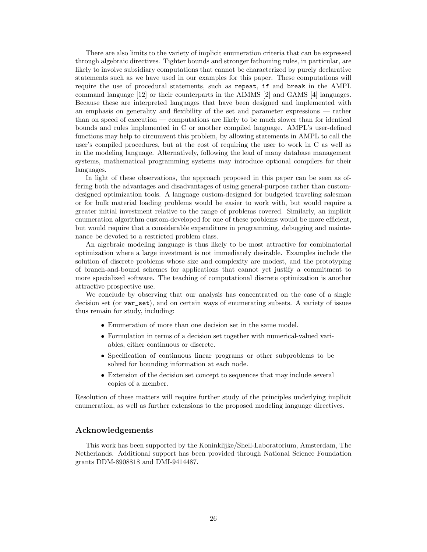There are also limits to the variety of implicit enumeration criteria that can be expressed through algebraic directives. Tighter bounds and stronger fathoming rules, in particular, are likely to involve subsidiary computations that cannot be characterized by purely declarative statements such as we have used in our examples for this paper. These computations will require the use of procedural statements, such as repeat, if and break in the AMPL command language [12] or their counterparts in the AIMMS [2] and GAMS [4] languages. Because these are interpreted languages that have been designed and implemented with an emphasis on generality and flexibility of the set and parameter expressions — rather than on speed of execution — computations are likely to be much slower than for identical bounds and rules implemented in C or another compiled language. AMPL's user-defined functions may help to circumvent this problem, by allowing statements in AMPL to call the user's compiled procedures, but at the cost of requiring the user to work in C as well as in the modeling language. Alternatively, following the lead of many database management systems, mathematical programming systems may introduce optional compilers for their languages.

In light of these observations, the approach proposed in this paper can be seen as offering both the advantages and disadvantages of using general-purpose rather than customdesigned optimization tools. A language custom-designed for budgeted traveling salesman or for bulk material loading problems would be easier to work with, but would require a greater initial investment relative to the range of problems covered. Similarly, an implicit enumeration algorithm custom-developed for one of these problems would be more efficient, but would require that a considerable expenditure in programming, debugging and maintenance be devoted to a restricted problem class.

An algebraic modeling language is thus likely to be most attractive for combinatorial optimization where a large investment is not immediately desirable. Examples include the solution of discrete problems whose size and complexity are modest, and the prototyping of branch-and-bound schemes for applications that cannot yet justify a commitment to more specialized software. The teaching of computational discrete optimization is another attractive prospective use.

We conclude by observing that our analysis has concentrated on the case of a single decision set (or var\_set), and on certain ways of enumerating subsets. A variety of issues thus remain for study, including:

- Enumeration of more than one decision set in the same model.
- Formulation in terms of a decision set together with numerical-valued variables, either continuous or discrete.
- Specification of continuous linear programs or other subproblems to be solved for bounding information at each node.
- Extension of the decision set concept to sequences that may include several copies of a member.

Resolution of these matters will require further study of the principles underlying implicit enumeration, as well as further extensions to the proposed modeling language directives.

#### **Acknowledgements**

This work has been supported by the Koninklijke/Shell-Laboratorium, Amsterdam, The Netherlands. Additional support has been provided through National Science Foundation grants DDM-8908818 and DMI-9414487.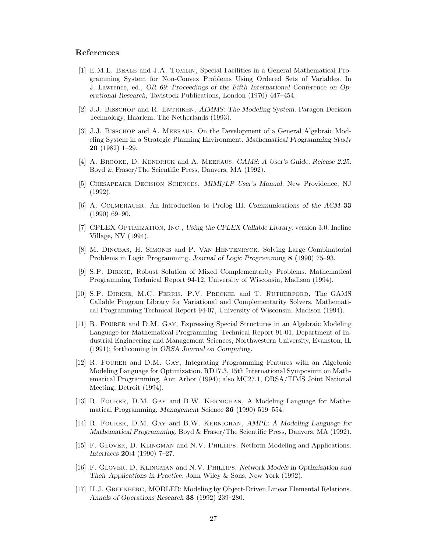## **References**

- [1] E.M.L. Beale and J.A. Tomlin, Special Facilities in a General Mathematical Programming System for Non-Convex Problems Using Ordered Sets of Variables. In J. Lawrence, ed., *OR 69: Proceedings of the Fifth International Conference on Operational Research,* Tavistock Publications, London (1970) 447–454.
- [2] J.J. Bisschop and R. Entriken, *AIMMS: The Modeling System.* Paragon Decision Technology, Haarlem, The Netherlands (1993).
- [3] J.J. Bisschop and A. Meeraus, On the Development of a General Algebraic Modeling System in a Strategic Planning Environment. *Mathematical Programming Study* **20** (1982) 1–29.
- [4] A. Brooke, D. Kendrick and A. Meeraus, *GAMS: A User's Guide, Release 2.25.* Boyd & Fraser/The Scientific Press, Danvers, MA (1992).
- [5] Chesapeake Decision Sciences, *MIMI/LP User's Manual.* New Providence, NJ (1992).
- [6] A. Colmerauer, An Introduction to Prolog III. *Communications of the ACM* **33** (1990) 69–90.
- [7] CPLEX OPTIMIZATION, INC., *Using the CPLEX Callable Library*, version 3.0. Incline Village, NV (1994).
- [8] M. DINCBAS, H. SIMONIS and P. VAN HENTENRYCK, Solving Large Combinatorial Problems in Logic Programming. *Journal of Logic Programming* **8** (1990) 75–93.
- [9] S.P. Dirkse, Robust Solution of Mixed Complementarity Problems. Mathematical Programming Technical Report 94-12, University of Wisconsin, Madison (1994).
- [10] S.P. Dirkse, M.C. Ferris, P.V. Preckel and T. Rutherford, The GAMS Callable Program Library for Variational and Complementarity Solvers. Mathematical Programming Technical Report 94-07, University of Wisconsin, Madison (1994).
- [11] R. Fourer and D.M. Gay, Expressing Special Structures in an Algebraic Modeling Language for Mathematical Programming. Technical Report 91-01, Department of Industrial Engineering and Management Sciences, Northwestern University, Evanston, IL (1991); forthcoming in *ORSA Journal on Computing.*
- [12] R. Fourer and D.M. Gay, Integrating Programming Features with an Algebraic Modeling Language for Optimization. RD17.3, 15th International Symposium on Mathematical Programming, Ann Arbor (1994); also MC27.1, ORSA/TIMS Joint National Meeting, Detroit (1994).
- [13] R. Fourer, D.M. Gay and B.W. Kernighan, A Modeling Language for Mathematical Programming. *Management Science* **36** (1990) 519–554.
- [14] R. Fourer, D.M. Gay and B.W. Kernighan, *AMPL: A Modeling Language for Mathematical Programming.* Boyd & Fraser/The Scientific Press, Danvers, MA (1992).
- [15] F. Glover, D. Klingman and N.V. Phillips, Netform Modeling and Applications. *Interfaces* **20:**4 (1990) 7–27.
- [16] F. Glover, D. Klingman and N.V. Phillips, *Network Models in Optimization and Their Applications in Practice.* John Wiley & Sons, New York (1992).
- [17] H.J. Greenberg, MODLER: Modeling by Object-Driven Linear Elemental Relations. *Annals of Operations Research* **38** (1992) 239–280.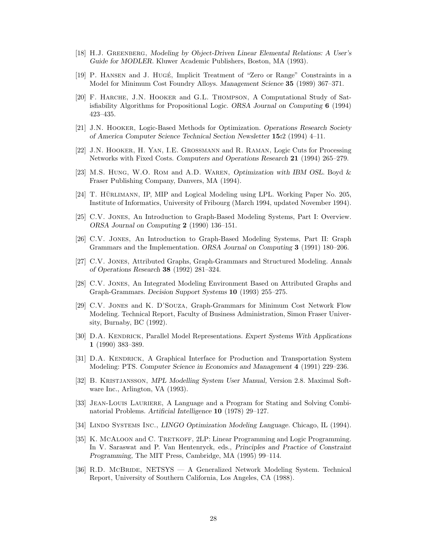- [18] H.J. Greenberg, *Modeling by Object-Driven Linear Elemental Relations: A User's Guide for MODLER.* Kluwer Academic Publishers, Boston, MA (1993).
- [19] P. HANSEN and J. HUGÉ, Implicit Treatment of "Zero or Range" Constraints in a Model for Minimum Cost Foundry Alloys. *Management Science* **35** (1989) 367–371.
- [20] F. Harche, J.N. Hooker and G.L. Thompson, A Computational Study of Satisfiability Algorithms for Propositional Logic. *ORSA Journal on Computing* **6** (1994) 423–435.
- [21] J.N. Hooker, Logic-Based Methods for Optimization. *Operations Research Society of America Computer Science Technical Section Newsletter* **15:**2 (1994) 4–11.
- [22] J.N. Hooker, H. Yan, I.E. Grossmann and R. Raman, Logic Cuts for Processing Networks with Fixed Costs. *Computers and Operations Research* **21** (1994) 265–279.
- [23] M.S. Hung, W.O. Rom and A.D. Waren, *Optimization with IBM OSL.* Boyd & Fraser Publishing Company, Danvers, MA (1994).
- [24] T. HÜRLIMANN, IP, MIP and Logical Modeling using LPL. Working Paper No. 205, Institute of Informatics, University of Fribourg (March 1994, updated November 1994).
- [25] C.V. Jones, An Introduction to Graph-Based Modeling Systems, Part I: Overview. *ORSA Journal on Computing* **2** (1990) 136–151.
- [26] C.V. Jones, An Introduction to Graph-Based Modeling Systems, Part II: Graph Grammars and the Implementation. *ORSA Journal on Computing* **3** (1991) 180–206.
- [27] C.V. Jones, Attributed Graphs, Graph-Grammars and Structured Modeling. *Annals of Operations Research* **38** (1992) 281–324.
- [28] C.V. Jones, An Integrated Modeling Environment Based on Attributed Graphs and Graph-Grammars. *Decision Support Systems* **10** (1993) 255–275.
- [29] C.V. Jones and K. D'Souza, Graph-Grammars for Minimum Cost Network Flow Modeling. Technical Report, Faculty of Business Administration, Simon Fraser University, Burnaby, BC (1992).
- [30] D.A. KENDRICK, Parallel Model Representations. *Expert Systems With Applications* **1** (1990) 383–389.
- [31] D.A. KENDRICK, A Graphical Interface for Production and Transportation System Modeling: PTS. *Computer Science in Economics and Management* **4** (1991) 229–236.
- [32] B. Kristjansson, *MPL Modelling System User Manual,* Version 2.8. Maximal Software Inc., Arlington, VA (1993).
- [33] Jean-Louis Lauriere, A Language and a Program for Stating and Solving Combinatorial Problems. *Artificial Intelligence* **10** (1978) 29–127.
- [34] Lindo Systems Inc., *LINGO Optimization Modeling Language.* Chicago, IL (1994).
- [35] K. MCALOON and C. TRETKOFF, 2LP: Linear Programming and Logic Programming. In V. Saraswat and P. Van Hentenryck, eds., *Principles and Practice of Constraint Programming,* The MIT Press, Cambridge, MA (1995) 99–114.
- [36] R.D. McBRIDE, NETSYS A Generalized Network Modeling System. Technical Report, University of Southern California, Los Angeles, CA (1988).